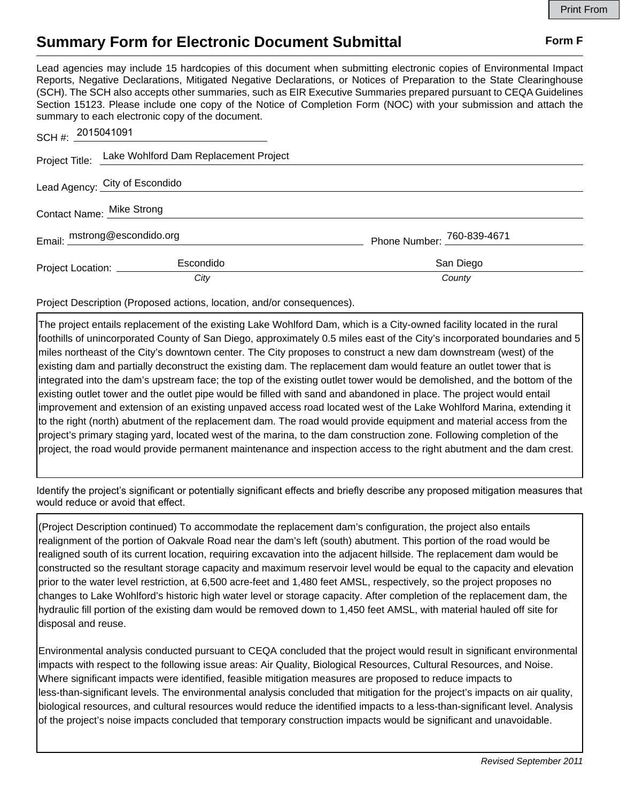## **Summary Form for Electronic Document Submittal Form F Form F**

Lead agencies may include 15 hardcopies of this document when submitting electronic copies of Environmental Impact Reports, Negative Declarations, Mitigated Negative Declarations, or Notices of Preparation to the State Clearinghouse (SCH). The SCH also accepts other summaries, such as EIR Executive Summaries prepared pursuant to CEQA Guidelines Section 15123. Please include one copy of the Notice of Completion Form (NOC) with your submission and attach the summary to each electronic copy of the document.

| SCH#: 2015041091             |                                                      |                            |
|------------------------------|------------------------------------------------------|----------------------------|
|                              | Project Title: Lake Wohlford Dam Replacement Project |                            |
|                              | Lead Agency: City of Escondido                       |                            |
| Contact Name: Mike Strong    |                                                      |                            |
| Email: mstrong@escondido.org |                                                      | Phone Number: 760-839-4671 |
| Project Location: ________   | Escondido                                            | San Diego                  |
|                              | City                                                 | County                     |

Project Description (Proposed actions, location, and/or consequences).

The project entails replacement of the existing Lake Wohlford Dam, which is a City-owned facility located in the rural foothills of unincorporated County of San Diego, approximately 0.5 miles east of the City's incorporated boundaries and 5 miles northeast of the City's downtown center. The City proposes to construct a new dam downstream (west) of the existing dam and partially deconstruct the existing dam. The replacement dam would feature an outlet tower that is integrated into the dam's upstream face; the top of the existing outlet tower would be demolished, and the bottom of the existing outlet tower and the outlet pipe would be filled with sand and abandoned in place. The project would entail improvement and extension of an existing unpaved access road located west of the Lake Wohlford Marina, extending it to the right (north) abutment of the replacement dam. The road would provide equipment and material access from the project's primary staging yard, located west of the marina, to the dam construction zone. Following completion of the project, the road would provide permanent maintenance and inspection access to the right abutment and the dam crest.

Identify the project's significant or potentially significant effects and briefly describe any proposed mitigation measures that would reduce or avoid that effect.

(Project Description continued) To accommodate the replacement dam's configuration, the project also entails realignment of the portion of Oakvale Road near the dam's left (south) abutment. This portion of the road would be realigned south of its current location, requiring excavation into the adjacent hillside. The replacement dam would be constructed so the resultant storage capacity and maximum reservoir level would be equal to the capacity and elevation prior to the water level restriction, at 6,500 acre-feet and 1,480 feet AMSL, respectively, so the project proposes no changes to Lake Wohlford's historic high water level or storage capacity. After completion of the replacement dam, the hydraulic fill portion of the existing dam would be removed down to 1,450 feet AMSL, with material hauled off site for disposal and reuse.

Environmental analysis conducted pursuant to CEQA concluded that the project would result in significant environmental impacts with respect to the following issue areas: Air Quality, Biological Resources, Cultural Resources, and Noise. Where significant impacts were identified, feasible mitigation measures are proposed to reduce impacts to less-than-significant levels. The environmental analysis concluded that mitigation for the project's impacts on air quality, biological resources, and cultural resources would reduce the identified impacts to a less-than-significant level. Analysis of the project's noise impacts concluded that temporary construction impacts would be significant and unavoidable.